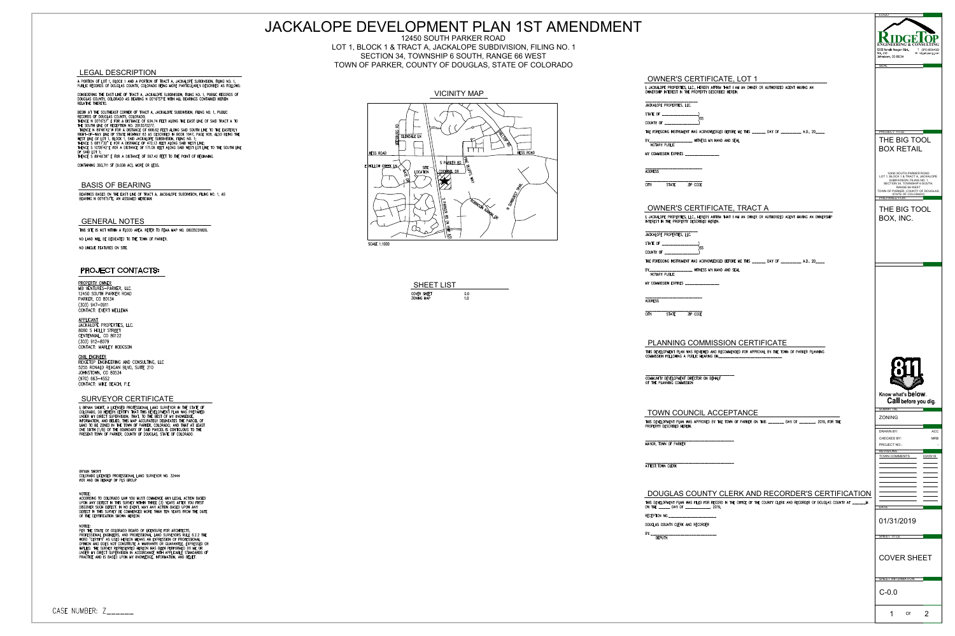





|                                                                                                                                                                                                                                          | JACKALOPE DEVELOPMENT PLAN 1ST AMENDMENT                                                                                                                                                        |                                                                                                                                                                        | <u>LOGO</u>                                                                                                             |
|------------------------------------------------------------------------------------------------------------------------------------------------------------------------------------------------------------------------------------------|-------------------------------------------------------------------------------------------------------------------------------------------------------------------------------------------------|------------------------------------------------------------------------------------------------------------------------------------------------------------------------|-------------------------------------------------------------------------------------------------------------------------|
|                                                                                                                                                                                                                                          | 12450 SOUTH PARKER ROAD<br>LOT 1, BLOCK 1 & TRACT A, JACKALOPE SUBDIVISION, FILING NO. 1<br>SECTION 34, TOWNSHIP 6 SOUTH, RANGE 66 WEST<br>TOWN OF PARKER, COUNTY OF DOUGLAS, STATE OF COLORADO |                                                                                                                                                                        | <b>CONSULTIN</b><br>5255 Ronald Reagan Blyd<br>T (970) 663-4552<br>Ste. 210<br>Johnstown, CO 80534<br>W ridgetopeng.com |
| <b>EGAL DESCRIPTION</b>                                                                                                                                                                                                                  |                                                                                                                                                                                                 | <b>OWNER'S CERTIFICATE, LOT 1</b>                                                                                                                                      |                                                                                                                         |
| PORTION OF LOT 1, BLOCK 1 AND A PORTION OF TRACT A, JACKALOPE SUBDIVISION, FILING NO. 1,<br>BLIC RECORDS OF DOUGLAS COUNTY, COLORADO BEING MORE PARTICULARLY DESCRIBED AS FOLLOWS:                                                       |                                                                                                                                                                                                 | I, JACKALOPE PROPERTIES, LLC., HEREBY AFFIRM THAT I AM AN OWNER OR AUTHORIZED AGENT HAVING AN<br>OWNERSHIP INTEREST IN THE PROPERTY DESCRIBED HEREIN.                  |                                                                                                                         |
| NSIDERING THE EAST LINE OF TRACT A, JACKALOPE SUBDIVISION, FILING NO. 1, PUBLIC RECORDS OF<br>UGLAS COUNTY, COLORADO AS BEARING N 00°16'57"E WITH ALL BEARINGS CONTAINED HEREIN<br>LATIVE THERETO.                                       | <b>VICINITY MAP</b>                                                                                                                                                                             | JACKALOPE PROPERTIES, LLC.                                                                                                                                             |                                                                                                                         |
| GIN AT THE SOUTHEAST CORNER OF TRACT A, JACKALOPE SUBDIVISION, FILING NO. 1, PUBLIC<br>CORDS OF DOUGLAS COUNTY, COLORADO;<br>ENCE N 0016'57" E FOR A DISTANCE OF 634.74 FEET ALONG THE EAST LINE OF SAID TRACT A TO                      |                                                                                                                                                                                                 | STATE OF                                                                                                                                                               |                                                                                                                         |
| E SOUTH LINE OF RECEPTION NO. 2013070277;<br>HENCE N 89°46'42"W FOR A DISTANCE OF 668.62 FEET ALONG SAID SOUTH LINE TO THE EASTERLY                                                                                                      |                                                                                                                                                                                                 | COUNTY OF __________________)<br>THE FOREGOING INSTRUMENT WAS ACKNOWLEDGED BEFORE ME THIS ______ DAY OF _________ A.D., 20____                                         | <b>PROJECT TITLE</b>                                                                                                    |
| HT-OF-WAY LINE OF STATE HIGHWAY 83 AS DESCRIBED IN BOOK 1047, PAGE 908, ALSO BEING THE<br>ST LINE OF LOT 1, BLOCK 1, SAID JACKALOPE SUBDIVISION, FILING NO. 1;<br>ENCE S 08"17'32" E FOR A DISTANCE OF 472.13 FEET ALONG SAID WEST LINE; | <b>GLENDALE LN</b>                                                                                                                                                                              | BY________________________ WITNESS MY HAND AND SEAL                                                                                                                    | THE BIG TOOL                                                                                                            |
| INCE S 10°05'42"E FOR A DISTANCE OF 171.06 FEET ALONG SAID WEST LOT LINE TO THE SOUTH LINE<br>SAID LOT 1;<br>ENCE S 89°49'38" E FOR A DISTANCE OF 567.42 FEET TO THE POINT OF BEGINNING.                                                 | HESS ROAD<br>HESS ROAD                                                                                                                                                                          | NOTARY PUBLIC<br>MY COMMISSION EXPIRES _______________                                                                                                                 | <b>BOX RETAIL</b>                                                                                                       |
| NTAINING 393,711 SF (9.038 AC), MORE OR LESS.                                                                                                                                                                                            | SPARKERRD<br>E HOLLOW CREEK LN<br>SITE                                                                                                                                                          | -----------------------                                                                                                                                                |                                                                                                                         |
|                                                                                                                                                                                                                                          | <u>LCOCKARIEL DRI</u><br><b>LOCATION</b>                                                                                                                                                        | <b>ADDRESS</b>                                                                                                                                                         | 12450 SOUTH PARKER ROAD<br>LOT 1, BLOCK 1 & TRACT A, JACKALOPE<br>SUBDIVISION, FILING NO. 1                             |
| <b>BASIS OF BEARING</b><br>EARINGS BASED ON THE EAST LINE OF TRACT A, JACKALOPE SUBDIVISION, FILING NO. 1, AS<br>EARING N 00"16'57"E, AN ASSUMED MERIDIAN.                                                                               |                                                                                                                                                                                                 | <b>STATE</b><br>ZIP CODE<br><b>CITY</b>                                                                                                                                | SECTION 34, TOWNSHIP 6 SOUTH,<br>RANGE 66 WEST<br>TOWN OF PARKER, COUNTY OF DOUGLAS,<br>STATE OF COLORADO               |
|                                                                                                                                                                                                                                          |                                                                                                                                                                                                 | <b>OWNER'S CERTIFICATE, TRACT A</b>                                                                                                                                    |                                                                                                                         |
| <b>GENERAL NOTES</b>                                                                                                                                                                                                                     |                                                                                                                                                                                                 | I, JACKALOPE PROPERTIES, LLC., HEREBY AFFIRM THAT I AM AN OWNER OR AUTHORIZED AGENT HAVING AN OWNERSHIP<br>INTEREST IN THE PROPERTY DESCRIBED HEREIN.                  | THE BIG TOOL<br>BOX, INC.                                                                                               |
| HIS SITE IS NOT WITHIN A FLOOD AREA. REFER TO FEMA MAP NO. 08035C0182G.                                                                                                                                                                  |                                                                                                                                                                                                 | JACKALOPE PROPERTIES, LLC.                                                                                                                                             |                                                                                                                         |
| O LAND WILL BE DEDICATED TO THE TOWN OF PARKER.<br>O UNIQUE FEATURES ON SITE.                                                                                                                                                            | <b>SCALE 1:1000</b>                                                                                                                                                                             | STATE OF ____________________)                                                                                                                                         |                                                                                                                         |
|                                                                                                                                                                                                                                          |                                                                                                                                                                                                 | COUNTY OF _______________<br>THE FOREGOING INSTRUMENT WAS ACKNOWLEDGED BEFORE ME THIS ______ DAY OF ________ A.D., 20____                                              |                                                                                                                         |
| <b>PROJECT CONTACTS:</b>                                                                                                                                                                                                                 |                                                                                                                                                                                                 | BY_____________________ WINESS MY HAND AND SEAL<br>NOTARY PUBLIC                                                                                                       |                                                                                                                         |
| ROPERTY OWNER                                                                                                                                                                                                                            | <b>SHEET LIST</b>                                                                                                                                                                               | MY COMMISSION EXPIRES ________________                                                                                                                                 |                                                                                                                         |
| B VENTURES-PARKER, LLC.<br>450 SOUTH PARKER ROAD<br>ARKER, CO 80134                                                                                                                                                                      | COVER SHEET<br>0.0<br>ZONING MAP<br>1.0                                                                                                                                                         | _______________________                                                                                                                                                |                                                                                                                         |
| 03) 947-0911<br>DNTACT: EVERT MELLEMA                                                                                                                                                                                                    |                                                                                                                                                                                                 | <b>ADDRESS</b>                                                                                                                                                         |                                                                                                                         |
| PPLICANT<br><b>CKALOPE PROPERTIES, LLC.</b>                                                                                                                                                                                              |                                                                                                                                                                                                 | <b>STATE</b><br>ZIP CODE<br><b>CITY</b>                                                                                                                                |                                                                                                                         |
| 080 S HOLLY STREET<br>NTENNIAL, CO 80122                                                                                                                                                                                                 |                                                                                                                                                                                                 |                                                                                                                                                                        |                                                                                                                         |
| 03) 912-8079<br>ONTACT: MARLEY HODGSON                                                                                                                                                                                                   |                                                                                                                                                                                                 | <b>PLANNING COMMISSION CERTIFICATE</b><br>THIS DEVELOPMENT PLAN WAS REVIEWED AND RECOMMENDED FOR APPROVAL BY THE TOWN OF PARKER PLANNING                               |                                                                                                                         |
| <u>VIL ENGINEER</u><br>DGETOP ENGINEERING AND CONSULTING, LLC                                                                                                                                                                            |                                                                                                                                                                                                 | COMMISSION FOLLOWING A PUBLIC HEARING ON_                                                                                                                              |                                                                                                                         |
| 255 RONALD REAGAN BLVD, SUITE 210<br>HNSTOWN, CO 80534<br>70) 663-4552                                                                                                                                                                   |                                                                                                                                                                                                 | COMMUNITY DEVELOPMENT DIRECTOR ON BEHALF                                                                                                                               |                                                                                                                         |
| DNTACT: MIKE BEACH, P.E.                                                                                                                                                                                                                 |                                                                                                                                                                                                 | OF THE PLANNING COMMISSION                                                                                                                                             |                                                                                                                         |
| <b>SURVEYOR CERTIFICATE</b>                                                                                                                                                                                                              |                                                                                                                                                                                                 |                                                                                                                                                                        | Know what's below.<br>Call before you dig.                                                                              |
| BRYAN SHORT, A LICENSED PROFESSIONAL LAND SURVEYOR IN THE STATE OF<br>OLORADO, DO HEREBY CERTIFY THAT THIS DEVELOPMENT PLAN WAS PREPARED<br>NDER MY DIRECT SUPERVISION; THAT, TO THE BEST OF MY KNOWLEDGE,                               |                                                                                                                                                                                                 | TOWN COUNCIL ACCEPTANCE                                                                                                                                                | <b>SUBMITTAL</b><br>ZONING                                                                                              |
| FORMATION, AND BELIED, THIS MAP ACCURATELY DELINEATES THE PARCEL OF<br>AND TO BE ZONED IN THE TOWN OF PARKER, COLORADO; AND THAT AT LEAST<br>NE SIXTH (1/6) OF THE BOUNDARY OF SAID PARCEL IS CONTIGUOUS TO THE                          |                                                                                                                                                                                                 | THIS DEVELOPMENT PLAN WAS APPROVED BY THE TOWN OF PARKER ON THIS _______ DAY OF _______, 2019, FOR THE<br>PROPERTY DESCRIBED HEREIN.                                   | <b>DRAWN BY:</b>                                                                                                        |
| RESENT TOWN OF PARKER, COUNTY OF DOUGLAS, STATE OF COLORADO.                                                                                                                                                                             |                                                                                                                                                                                                 | MAYOR, TOWN OF PARKER                                                                                                                                                  | ACC<br>CHECKED BY:<br><b>MRB</b>                                                                                        |
|                                                                                                                                                                                                                                          |                                                                                                                                                                                                 |                                                                                                                                                                        | PROJECT NO.:<br><b>REVISIONS</b><br>TOWN COMMENTS<br>03/05/18                                                           |
|                                                                                                                                                                                                                                          |                                                                                                                                                                                                 | ATTEST: TOWN CLERK                                                                                                                                                     |                                                                                                                         |
| <b>TAOHE MAYS</b><br>OLORADO LICENSED PROFESSIONAL LAND SURVEYOR NO. 32444<br>OR AND ON BEHALF OF PLS GROUP                                                                                                                              |                                                                                                                                                                                                 |                                                                                                                                                                        |                                                                                                                         |
|                                                                                                                                                                                                                                          |                                                                                                                                                                                                 | DOUGLAS COUNTY CLERK AND RECORDER'S CERTIFICATION                                                                                                                      |                                                                                                                         |
| CORDING TO COLORADO LAW YOU MUST COMMENCE ANY LEGAL ACTION BASED<br>PON ANY DEFECT IN THIS SURVEY WITHIN THREE (3) YEARS AFTER YOU FIRST<br>SCOVER SUCH DEFECT. IN NO EVENT, MAY ANY ACTION BASED UPON ANY                               |                                                                                                                                                                                                 | THIS DEVELOPMENT PLAN WAS FILED FOR RECORD IN THE OFFICE OF THE COUNTY CLERK AND RECORDER OF DOUGLAS COUNTY AT ______M.<br>ON THE _______ DAY OF ______________, 2019, | <b>DATE</b>                                                                                                             |
| EFECT IN THIS SURVEY BE COMMENCED MORE THAN TEN YEARS FROM THE DATE<br>THE CERTIFICATION SHOWN HEREON.                                                                                                                                   |                                                                                                                                                                                                 | RECEPTION NO. _________________________                                                                                                                                | 01/31/2019                                                                                                              |
| ER THE STATE OF COLORADO BOARD OF LICENSURE FOR ARCHITECTS,<br>ROFESSIONAL ENGINEERS, AND PROFESSIONAL LAND SURVEYORS RULE 6.2.2 THE                                                                                                     |                                                                                                                                                                                                 | DOUGLAS COUNTY CLERK AND RECORDER                                                                                                                                      |                                                                                                                         |
| ORD "CERTIFY" AS USED HEREON MEANS AN EXPRESSION OF PROFESSIONAL<br>PINION AND DOES NOT CONSTITUTE A WARRANTY OR GUARANTEE, EXPRESSED OR<br>PLIED. THE SURVEY REPRESENTED HEREON HAS BEEN PERFORMED BY ME OR                             |                                                                                                                                                                                                 |                                                                                                                                                                        | SHEET TITLE                                                                                                             |
| NDER MY DIRECT SUPERVISION IN ACCORDANCE WITH APPLICABLE STANDARDS OF<br>RACTICE AND IS BASED UPON MY KNOWLEDGE, INFORMATION, AND BELIEF.                                                                                                |                                                                                                                                                                                                 |                                                                                                                                                                        | <b>COVER SHEET</b>                                                                                                      |
|                                                                                                                                                                                                                                          |                                                                                                                                                                                                 |                                                                                                                                                                        |                                                                                                                         |
|                                                                                                                                                                                                                                          |                                                                                                                                                                                                 |                                                                                                                                                                        | SHEET INFORMATION                                                                                                       |
|                                                                                                                                                                                                                                          |                                                                                                                                                                                                 |                                                                                                                                                                        | $C-0.0$                                                                                                                 |
| ABER: Z______                                                                                                                                                                                                                            |                                                                                                                                                                                                 |                                                                                                                                                                        |                                                                                                                         |
|                                                                                                                                                                                                                                          |                                                                                                                                                                                                 |                                                                                                                                                                        | Of                                                                                                                      |